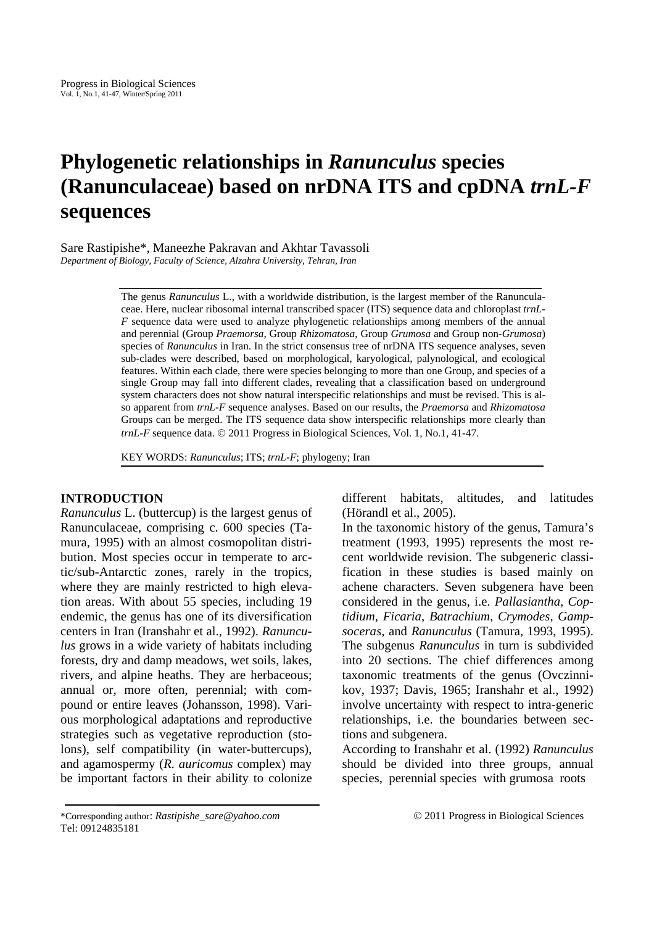# **Phylogenetic relationships in** *Ranunculus* **species (Ranunculaceae) based on nrDNA ITS and cpDNA** *trnL-F* **sequences**

Sare Rastipishe\*, Maneezhe Pakravan and Akhtar Tavassoli *Department of Biology, Faculty of Science, Alzahra University, Tehran, Iran* 

> The genus *Ranunculus* L., with a worldwide distribution, is the largest member of the Ranunculaceae. Here, nuclear ribosomal internal transcribed spacer (ITS) sequence data and chloroplast *trnL-F* sequence data were used to analyze phylogenetic relationships among members of the annual and perennial (Group *Praemorsa*, Group *Rhizomatosa*, Group *Grumosa* and Group non-*Grumosa*) species of *Ranunculus* in Iran. In the strict consensus tree of nrDNA ITS sequence analyses, seven sub-clades were described, based on morphological, karyological, palynological, and ecological features. Within each clade, there were species belonging to more than one Group, and species of a single Group may fall into different clades, revealing that a classification based on underground system characters does not show natural interspecific relationships and must be revised. This is also apparent from *trnL-F* sequence analyses. Based on our results, the *Praemorsa* and *Rhizomatosa* Groups can be merged. The ITS sequence data show interspecific relationships more clearly than *trnL-F* sequence data. © 2011 Progress in Biological Sciences, Vol. 1, No.1, 41-47.

KEY WORDS: *Ranunculus*; ITS; *trnL-F*; phylogeny; Iran

# **INTRODUCTION**

*Ranunculus* L. (buttercup) is the largest genus of Ranunculaceae, comprising c. 600 species (Tamura, 1995) with an almost cosmopolitan distribution. Most species occur in temperate to arctic/sub-Antarctic zones, rarely in the tropics, where they are mainly restricted to high elevation areas. With about 55 species, including 19 endemic, the genus has one of its diversification centers in Iran (Iranshahr et al., 1992). *Ranunculus* grows in a wide variety of habitats including forests, dry and damp meadows, wet soils, lakes, rivers, and alpine heaths. They are herbaceous; annual or, more often, perennial; with compound or entire leaves (Johansson, 1998). Various morphological adaptations and reproductive strategies such as vegetative reproduction (stolons), self compatibility (in water-buttercups), and agamospermy (*R. auricomus* complex) may be important factors in their ability to colonize different habitats, altitudes, and latitudes (Hörandl et al., 2005).

In the taxonomic history of the genus, Tamura's treatment (1993, 1995) represents the most recent worldwide revision. The subgeneric classification in these studies is based mainly on achene characters. Seven subgenera have been considered in the genus, i.e. *Pallasiantha*, *Coptidium*, *Ficaria*, *Batrachium*, *Crymodes*, *Gampsoceras,* and *Ranunculus* (Tamura, 1993, 1995). The subgenus *Ranunculus* in turn is subdivided into 20 sections. The chief differences among taxonomic treatments of the genus (Ovczinnikov, 1937; Davis, 1965; Iranshahr et al., 1992) involve uncertainty with respect to intra-generic relationships, i.e. the boundaries between sections and subgenera.

According to Iranshahr et al. (1992) *Ranunculus*  should be divided into three groups, annual species, perennial species with grumosa roots

<sup>\*</sup>Corresponding author: *Rastipishe\_sare@yahoo.com* © 2011 Progress in Biological Sciences Tel: 09124835181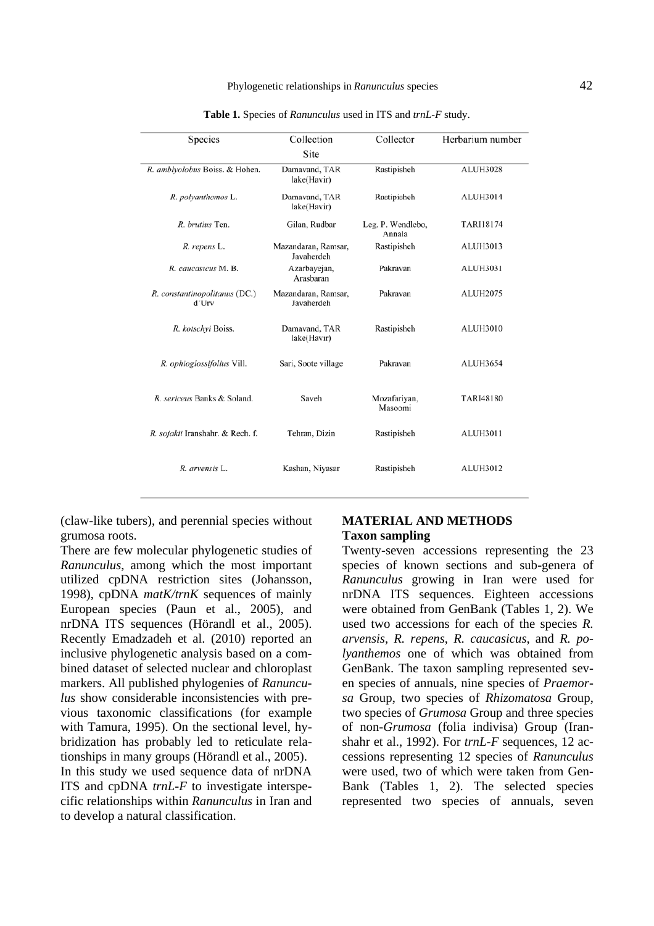| Species                                | Collection                        | Collector                   | Herbarium number |
|----------------------------------------|-----------------------------------|-----------------------------|------------------|
|                                        | Site                              |                             |                  |
| R. amblyolobus Boiss. & Hohen.         | Damavand, TAR<br>lake(Havir)      | Rastipisheh                 | <b>ALUH3028</b>  |
| R. polyanthemos L.                     | Damavand, TAR<br>lake(Havir)      | Rastipisheh                 | <b>ALUH3014</b>  |
| R. brutius Ten.                        | Gilan, Rudbar                     | Leg. P. Wendlebo,<br>Annala | TARI18174        |
| R. repens L.                           | Mazandaran, Ramsar,<br>Javaherdeh | Rastipisheh                 | <b>ALUH3013</b>  |
| R. caucasicus M. B.                    | Azarbayejan,<br>Arasbaran         | Pakravan                    | <b>ALUH3031</b>  |
| R. constantinopolitanus (DC.)<br>d'Urv | Mazandaran, Ramsar,<br>Javaherdeh | Pakravan                    | <b>ALUH2075</b>  |
| R. kotschvi Boiss.                     | Damavand, TAR<br>lake(Havir)      | Rastipisheh                 | <b>ALUH3010</b>  |
| R. ophioglossifolius Vill.             | Sari, Soote village               | Pakravan                    | <b>ALUH3654</b>  |
| R. sericeus Banks & Soland.            | Saveh                             | Mozafariyan,<br>Masoomi     | <b>TARI48180</b> |
| R. sojakii Iranshahr. & Rech. f.       | Tehran, Dizin                     | Rastipisheh                 | <b>ALUH3011</b>  |
| R. arvensis L.                         | Kashan, Niyasar                   | Rastipisheh                 | <b>ALUH3012</b>  |

**Table 1.** Species of *Ranunculus* used in ITS and *trnL-F* study.

(claw-like tubers), and perennial species without grumosa roots.

There are few molecular phylogenetic studies of *Ranunculus*, among which the most important utilized cpDNA restriction sites (Johansson, 1998), cpDNA *matK/trnK* sequences of mainly European species (Paun et al., 2005), and nrDNA ITS sequences (Hörandl et al., 2005). Recently Emadzadeh et al. (2010) reported an inclusive phylogenetic analysis based on a combined dataset of selected nuclear and chloroplast markers. All published phylogenies of *Ranunculus* show considerable inconsistencies with previous taxonomic classifications (for example with Tamura, 1995). On the sectional level, hybridization has probably led to reticulate relationships in many groups (Hörandl et al., 2005). In this study we used sequence data of nrDNA ITS and cpDNA *trnL-F* to investigate interspecific relationships within *Ranunculus* in Iran and to develop a natural classification.

### **MATERIAL AND METHODS Taxon sampling**

Twenty-seven accessions representing the 23 species of known sections and sub-genera of *Ranunculus* growing in Iran were used for nrDNA ITS sequences. Eighteen accessions were obtained from GenBank (Tables 1, 2). We used two accessions for each of the species *R. arvensis*, *R. repens*, *R. caucasicus*, and *R. polyanthemos* one of which was obtained from GenBank. The taxon sampling represented seven species of annuals, nine species of *Praemorsa* Group, two species of *Rhizomatosa* Group, two species of *Grumosa* Group and three species of non*-Grumosa* (folia indivisa) Group (Iranshahr et al., 1992). For *trnL-F* sequences, 12 accessions representing 12 species of *Ranunculus*  were used, two of which were taken from Gen-Bank (Tables 1, 2). The selected species represented two species of annuals, seven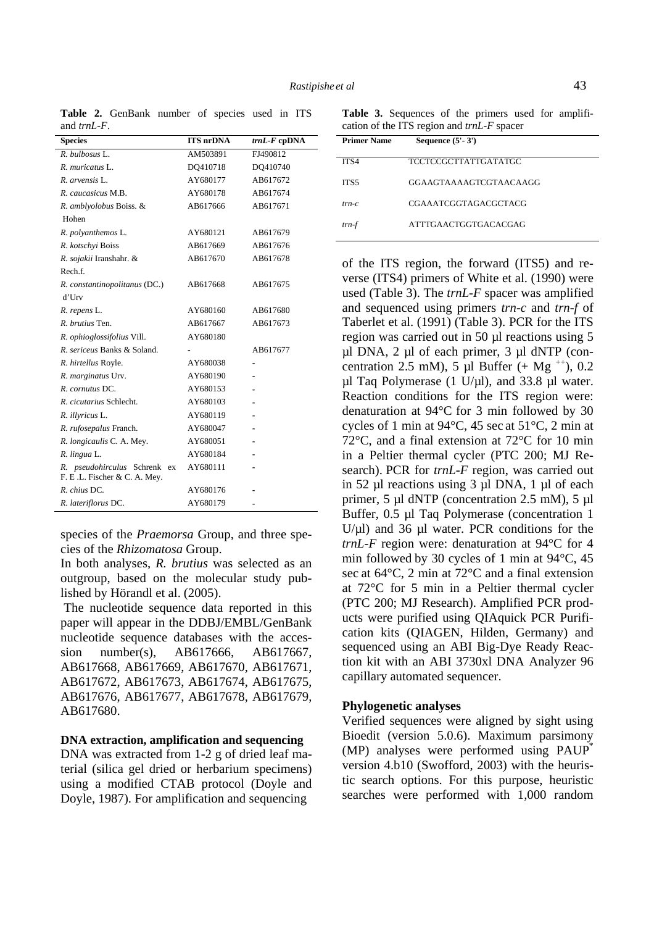**Species ITS nrDNA** *trnL-F* **cpDNA**  *R. bulbosus* L. AM503891 FJ490812 *R. muricatus* L. DQ410718 DQ410740 *R. arvensis* L. AY680177 AB617672 *R. caucasicus* M.B. AY680178 AB617674 *R. amblyolobus* Boiss. & Hohen AB617666 AB617671 *R. polyanthemos* L. AY680121 AB617679 *R. kotschyi* Boiss AB617669 AB617676 *R. sojakii* Iranshahr. & Rech.f. AB617670 AB617678 *R. constantinopolitanus* (DC.) d'Urv AB617668 AB617675 *R. repens* L. AY680160 AB617680 *R. brutius* Ten. AB617667 AB617673 *R. ophioglossifolius* Vill. AY680180 *R. sericeus* Banks & Soland. **-** AB617677 *R. hirtellus* Royle. AY680038 **-**  *R. marginatus* Urv. AY680190 **-**  *R. cornutus* DC. AY680153 **-**  *R. cicutarius* Schlecht. AY680103 **-**  *R. illyricus* L. AY680119 **-**  *R. rufosepalus* Franch. AY680047 **-**  *R. longicaulis* C. A. Mey. AY680051 **-**  *R. lingua* L. AY680184 **-**  *R. pseudohirculus* Schrenk ex F. E .L. Fischer & C. A. Mey. AY680111 **-**  *R. chius* DC. AY680176 **-**  *R. lateriflorus* DC. AY680179 **-** 

Table 2. GenBank number of species used in ITS

and *trnL-F*.

species of the *Praemorsa* Group, and three species of the *Rhizomatosa* Group.

In both analyses, *R. brutius* was selected as an outgroup, based on the molecular study published by Hörandl et al. (2005).

 The nucleotide sequence data reported in this paper will appear in the DDBJ/EMBL/GenBank nucleotide sequence databases with the accession number(s), AB617666, AB617667, AB617668, AB617669, AB617670, AB617671, AB617672, AB617673, AB617674, AB617675, AB617676, AB617677, AB617678, AB617679, AB617680.

#### **DNA extraction, amplification and sequencing**

DNA was extracted from 1-2 g of dried leaf material (silica gel dried or herbarium specimens) using a modified CTAB protocol (Doyle and Doyle, 1987). For amplification and sequencing

**Table 3.** Sequences of the primers used for amplification of the ITS region and *trnL-F* spacer

| <b>Primer Name</b> | Sequence $(5'-3')$     |
|--------------------|------------------------|
| ITS4               | TCCTCCGCTTATTGATATGC   |
| ITS5               | GGAAGTAAAAGTCGTAACAAGG |
| $trn-c$            | CGAAATCGGTAGACGCTACG   |
| $trn-f$            | ATTTGAACTGGTGACACGAG   |

of the ITS region, the forward (ITS5) and reverse (ITS4) primers of White et al. (1990) were used (Table 3). The *trnL-F* spacer was amplified and sequenced using primers *trn-c* and *trn-f* of Taberlet et al. (1991) (Table 3). PCR for the ITS region was carried out in 50 µl reactions using 5 µl DNA, 2 µl of each primer, 3 µl dNTP (concentration 2.5 mM), 5 µl Buffer  $(+$  Mg<sup> $+$ +</sup>), 0.2  $\mu$ l Taq Polymerase (1 U/ $\mu$ l), and 33.8  $\mu$ l water. Reaction conditions for the ITS region were: denaturation at 94°C for 3 min followed by 30 cycles of 1 min at 94°C, 45 sec at 51°C, 2 min at 72°C, and a final extension at 72°C for 10 min in a Peltier thermal cycler (PTC 200; MJ Research). PCR for *trnL-F* region, was carried out in 52 µl reactions using 3 µl DNA, 1 µl of each primer, 5 µl dNTP (concentration 2.5 mM), 5 µl Buffer, 0.5 µl Taq Polymerase (concentration 1  $U/\mu$ l) and 36  $\mu$ l water. PCR conditions for the *trnL-F* region were: denaturation at 94°C for 4 min followed by 30 cycles of 1 min at 94°C, 45 sec at 64°C, 2 min at 72°C and a final extension at 72°C for 5 min in a Peltier thermal cycler (PTC 200; MJ Research). Amplified PCR products were purified using QIAquick PCR Purification kits (QIAGEN, Hilden, Germany) and sequenced using an ABI Big-Dye Ready Reaction kit with an ABI 3730xl DNA Analyzer 96 capillary automated sequencer.

#### **Phylogenetic analyses**

Verified sequences were aligned by sight using Bioedit (version 5.0.6). Maximum parsimony (MP) analyses were performed using PAUP\* version 4.b10 (Swofford, 2003) with the heuristic search options. For this purpose, heuristic searches were performed with 1,000 random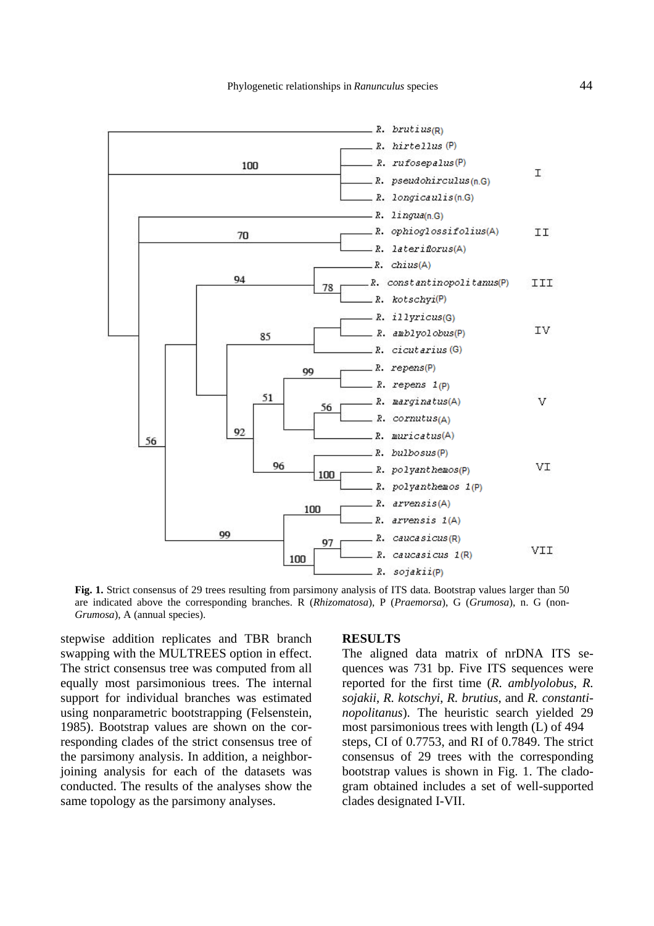

**Fig. 1.** Strict consensus of 29 trees resulting from parsimony analysis of ITS data. Bootstrap values larger than 50 are indicated above the corresponding branches. R (*Rhizomatosa*), P (*Praemorsa*), G (*Grumosa*), n. G (non-*Grumosa*), A (annual species).

stepwise addition replicates and TBR branch swapping with the MULTREES option in effect. The strict consensus tree was computed from all equally most parsimonious trees. The internal support for individual branches was estimated using nonparametric bootstrapping (Felsenstein, 1985). Bootstrap values are shown on the corresponding clades of the strict consensus tree of the parsimony analysis. In addition, a neighborjoining analysis for each of the datasets was conducted. The results of the analyses show the same topology as the parsimony analyses.

#### **RESULTS**

The aligned data matrix of nrDNA ITS sequences was 731 bp. Five ITS sequences were reported for the first time (*R. amblyolobus*, *R. sojakii*, *R. kotschyi*, *R. brutius,* and *R. constantinopolitanus*). The heuristic search yielded 29 most parsimonious trees with length (L) of 494 steps, CI of 0.7753, and RI of 0.7849. The strict consensus of 29 trees with the corresponding bootstrap values is shown in Fig. 1. The cladogram obtained includes a set of well-supported clades designated I-VII.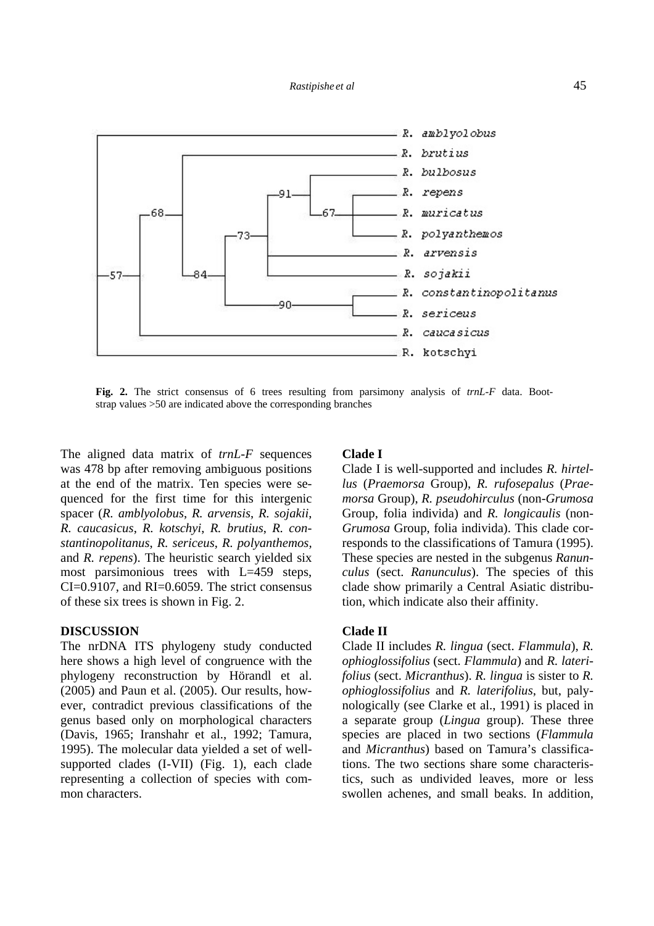

**Fig. 2.** The strict consensus of 6 trees resulting from parsimony analysis of *trnL-F* data. Bootstrap values >50 are indicated above the corresponding branches

The aligned data matrix of *trnL*-*F* sequences was 478 bp after removing ambiguous positions at the end of the matrix. Ten species were sequenced for the first time for this intergenic spacer (*R. amblyolobus*, *R. arvensis*, *R. sojakii*, *R. caucasicus*, *R. kotschyi*, *R. brutius*, *R. constantinopolitanus*, *R. sericeus*, *R. polyanthemos,* and *R. repens*). The heuristic search yielded six most parsimonious trees with  $L=459$  steps, CI=0.9107, and RI=0.6059. The strict consensus of these six trees is shown in Fig. 2.

## **DISCUSSION**

The nrDNA ITS phylogeny study conducted here shows a high level of congruence with the phylogeny reconstruction by Hörandl et al. (2005) and Paun et al. (2005). Our results, however, contradict previous classifications of the genus based only on morphological characters (Davis, 1965; Iranshahr et al., 1992; Tamura, 1995). The molecular data yielded a set of wellsupported clades (I-VII) (Fig. 1), each clade representing a collection of species with common characters.

### **Clade I**

Clade I is well-supported and includes *R. hirtellus* (*Praemorsa* Group), *R. rufosepalus* (*Praemorsa* Group), *R. pseudohirculus* (non-*Grumosa* Group, folia individa) and *R. longicaulis* (non-*Grumosa* Group, folia individa). This clade corresponds to the classifications of Tamura (1995). These species are nested in the subgenus *Ranunculus* (sect. *Ranunculus*). The species of this clade show primarily a Central Asiatic distribution, which indicate also their affinity.

#### **Clade II**

Clade II includes *R. lingua* (sect. *Flammula*), *R. ophioglossifolius* (sect. *Flammula*) and *R. laterifolius* (sect. *Micranthus*). *R. lingua* is sister to *R. ophioglossifolius* and *R. laterifolius*, but, palynologically (see Clarke et al., 1991) is placed in a separate group (*Lingua* group). These three species are placed in two sections (*Flammula* and *Micranthus*) based on Tamura's classifications. The two sections share some characteristics, such as undivided leaves, more or less swollen achenes, and small beaks. In addition,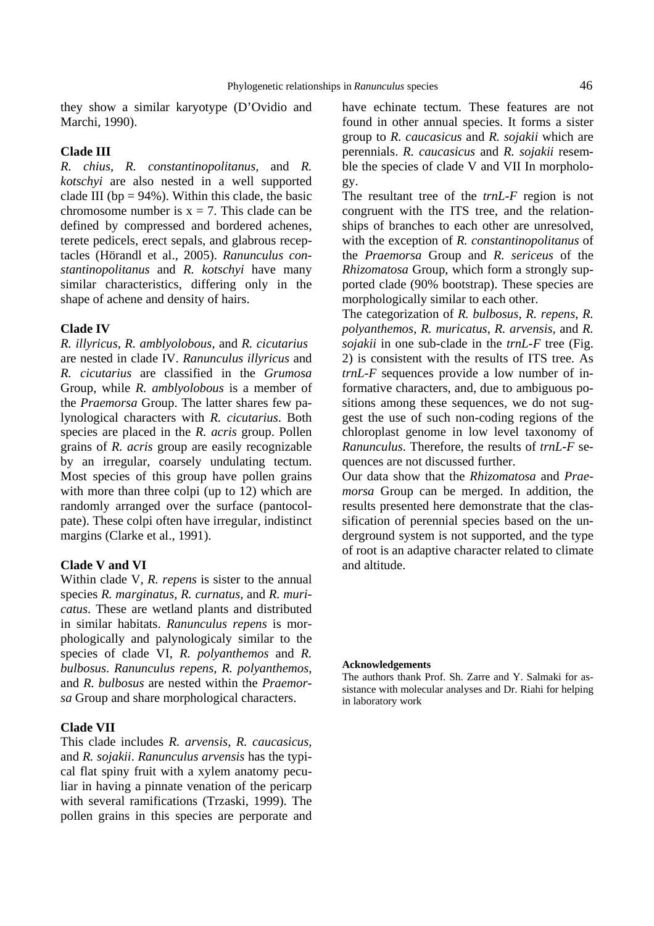they show a similar karyotype (D'Ovidio and Marchi, 1990).

## **Clade III**

*R. chius*, *R. constantinopolitanus,* and *R. kotschyi* are also nested in a well supported clade III ( $bp = 94\%$ ). Within this clade, the basic chromosome number is  $x = 7$ . This clade can be defined by compressed and bordered achenes, terete pedicels, erect sepals, and glabrous receptacles (Hörandl et al., 2005). *Ranunculus constantinopolitanus* and *R. kotschyi* have many similar characteristics, differing only in the shape of achene and density of hairs.

#### **Clade IV**

*R. illyricus*, *R. amblyolobous,* and *R. cicutarius* are nested in clade IV. *Ranunculus illyricus* and *R. cicutarius* are classified in the *Grumosa* Group, while *R. amblyolobous* is a member of the *Praemorsa* Group. The latter shares few palynological characters with *R. cicutarius*. Both species are placed in the *R. acris* group. Pollen grains of *R. acris* group are easily recognizable by an irregular, coarsely undulating tectum. Most species of this group have pollen grains with more than three colpi (up to 12) which are randomly arranged over the surface (pantocolpate). These colpi often have irregular, indistinct margins (Clarke et al., 1991).

## **Clade V and VI**

Within clade V, *R. repens* is sister to the annual species *R. marginatus*, *R. curnatus,* and *R. muricatus*. These are wetland plants and distributed in similar habitats. *Ranunculus repens* is morphologically and palynologicaly similar to the species of clade VI, *R. polyanthemos* and *R. bulbosus*. *Ranunculus repens, R. polyanthemos*, and *R. bulbosus* are nested within the *Praemorsa* Group and share morphological characters.

## **Clade VII**

This clade includes *R. arvensis*, *R. caucasicus,* and *R. sojakii*. *Ranunculus arvensis* has the typical flat spiny fruit with a xylem anatomy peculiar in having a pinnate venation of the pericarp with several ramifications (Trzaski, 1999). The pollen grains in this species are perporate and have echinate tectum. These features are not found in other annual species. It forms a sister group to *R. caucasicus* and *R. sojakii* which are perennials. *R. caucasicus* and *R. sojakii* resemble the species of clade V and VII In morphology.

The resultant tree of the *trnL-F* region is not congruent with the ITS tree, and the relationships of branches to each other are unresolved, with the exception of *R. constantinopolitanus* of the *Praemorsa* Group and *R. sericeus* of the *Rhizomatosa* Group, which form a strongly supported clade (90% bootstrap). These species are morphologically similar to each other.

The categorization of *R. bulbosus*, *R. repens*, *R. polyanthemos*, *R. muricatus*, *R. arvensis,* and *R. sojakii* in one sub-clade in the *trnL*-*F* tree (Fig. 2) is consistent with the results of ITS tree. As *trnL*-*F* sequences provide a low number of informative characters, and, due to ambiguous positions among these sequences, we do not suggest the use of such non-coding regions of the chloroplast genome in low level taxonomy of *Ranunculus*. Therefore, the results of *trnL*-*F* sequences are not discussed further.

Our data show that the *Rhizomatosa* and *Praemorsa* Group can be merged. In addition, the results presented here demonstrate that the classification of perennial species based on the underground system is not supported, and the type of root is an adaptive character related to climate and altitude.

#### **Acknowledgements**

The authors thank Prof. Sh. Zarre and Y. Salmaki for assistance with molecular analyses and Dr. Riahi for helping in laboratory work